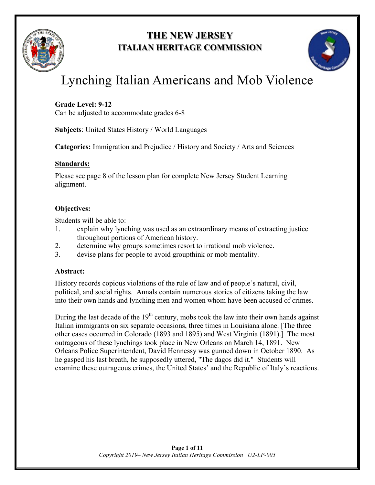

## **THE NEW JERSEY ITALIAN HERITAGE COMMISSION**



# Lynching Italian Americans and Mob Violence

## **Grade Level: 9-12**

Can be adjusted to accommodate grades 6-8

**Subjects**: United States History / World Languages

**Categories:** Immigration and Prejudice / History and Society / Arts and Sciences

## **Standards:**

Please see page 8 of the lesson plan for complete New Jersey Student Learning alignment.

## **Objectives:**

Students will be able to:

- 1. explain why lynching was used as an extraordinary means of extracting justice throughout portions of American history.
- 2. determine why groups sometimes resort to irrational mob violence.
- 3. devise plans for people to avoid groupthink or mob mentality.

## **Abstract:**

History records copious violations of the rule of law and of people's natural, civil, political, and social rights. Annals contain numerous stories of citizens taking the law into their own hands and lynching men and women whom have been accused of crimes.

During the last decade of the  $19<sup>th</sup>$  century, mobs took the law into their own hands against Italian immigrants on six separate occasions, three times in Louisiana alone. [The three other cases occurred in Colorado (1893 and 1895) and West Virginia (1891).] The most outrageous of these lynchings took place in New Orleans on March 14, 1891. New Orleans Police Superintendent, David Hennessy was gunned down in October 1890. As he gasped his last breath, he supposedly uttered, "The dagos did it." Students will examine these outrageous crimes, the United States' and the Republic of Italy's reactions.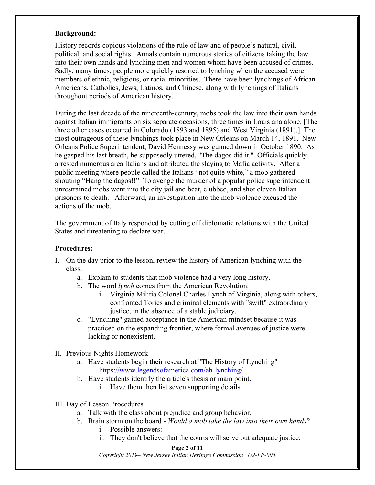## **Background:**

History records copious violations of the rule of law and of people's natural, civil, political, and social rights. Annals contain numerous stories of citizens taking the law into their own hands and lynching men and women whom have been accused of crimes. Sadly, many times, people more quickly resorted to lynching when the accused were members of ethnic, religious, or racial minorities. There have been lynchings of African-Americans, Catholics, Jews, Latinos, and Chinese, along with lynchings of Italians throughout periods of American history.

During the last decade of the nineteenth-century, mobs took the law into their own hands against Italian immigrants on six separate occasions, three times in Louisiana alone. [The three other cases occurred in Colorado (1893 and 1895) and West Virginia (1891).] The most outrageous of these lynchings took place in New Orleans on March 14, 1891. New Orleans Police Superintendent, David Hennessy was gunned down in October 1890. As he gasped his last breath, he supposedly uttered, "The dagos did it." Officials quickly arrested numerous area Italians and attributed the slaying to Mafia activity. After a public meeting where people called the Italians "not quite white," a mob gathered shouting "Hang the dagos!!" To avenge the murder of a popular police superintendent unrestrained mobs went into the city jail and beat, clubbed, and shot eleven Italian prisoners to death. Afterward, an investigation into the mob violence excused the actions of the mob.

The government of Italy responded by cutting off diplomatic relations with the United States and threatening to declare war.

### **Procedures:**

- I. On the day prior to the lesson, review the history of American lynching with the class.
	- a. Explain to students that mob violence had a very long history.
	- b. The word *lynch* comes from the American Revolution.
		- i. Virginia Militia Colonel Charles Lynch of Virginia, along with others, confronted Tories and criminal elements with "swift" extraordinary justice, in the absence of a stable judiciary.
	- c. "Lynching" gained acceptance in the American mindset because it was practiced on the expanding frontier, where formal avenues of justice were lacking or nonexistent.
- II. Previous Nights Homework
	- a. Have students begin their research at "The History of Lynching" https://www.legendsofamerica.com/ah-lynching/
	- b. Have students identify the article's thesis or main point.
		- i. Have them then list seven supporting details.
- III. Day of Lesson Procedures
	- a. Talk with the class about prejudice and group behavior.
	- b. Brain storm on the board *Would a mob take the law into their own hands*?
		- i. Possible answers:
		- ii. They don't believe that the courts will serve out adequate justice.

#### **Page 2 of 11**

*Copyright 2019– New Jersey Italian Heritage Commission U2-LP-005*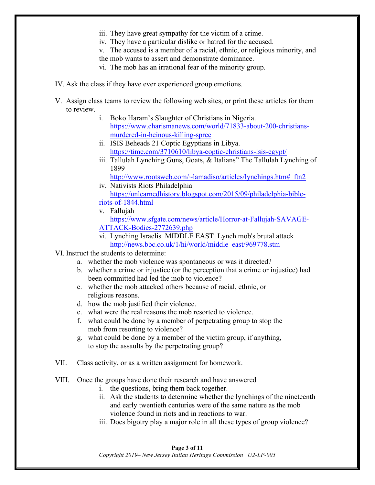- iii. They have great sympathy for the victim of a crime.
- iv. They have a particular dislike or hatred for the accused.
- v. The accused is a member of a racial, ethnic, or religious minority, and
- the mob wants to assert and demonstrate dominance.
- vi. The mob has an irrational fear of the minority group.
- IV. Ask the class if they have ever experienced group emotions.
- V. Assign class teams to review the following web sites, or print these articles for them to review.
	- i. Boko Haram's Slaughter of Christians in Nigeria. https://www.charismanews.com/world/71833-about-200-christiansmurdered-in-heinous-killing-spree
	- ii. ISIS Beheads 21 Coptic Egyptians in Libya. https://time.com/3710610/libya-coptic-christians-isis-egypt/
	- iii. Tallulah Lynching Guns, Goats, & Italians" The Tallulah Lynching of 1899

```
http://www.rootsweb.com/~lamadiso/articles/lynchings.htm# ftn2
iv. Nativists Riots Philadelphia
```
- https://unlearnedhistory.blogspot.com/2015/09/philadelphia-bibleriots-of-1844.html
- v. Fallujah https://www.sfgate.com/news/article/Horror-at-Fallujah-SAVAGE-ATTACK-Bodies-2772639.php
- vi. Lynching Israelis MIDDLE EAST Lynch mob's brutal attack http://news.bbc.co.uk/1/hi/world/middle\_east/969778.stm
- VI. Instruct the students to determine:
	- a. whether the mob violence was spontaneous or was it directed?
	- b. whether a crime or injustice (or the perception that a crime or injustice) had been committed had led the mob to violence?
	- c. whether the mob attacked others because of racial, ethnic, or religious reasons.
	- d. how the mob justified their violence.
	- e. what were the real reasons the mob resorted to violence.
	- f. what could be done by a member of perpetrating group to stop the mob from resorting to violence?
	- g. what could be done by a member of the victim group, if anything, to stop the assaults by the perpetrating group?
- VII. Class activity, or as a written assignment for homework.
- VIII. Once the groups have done their research and have answered
	- i. the questions, bring them back together.
	- ii. Ask the students to determine whether the lynchings of the nineteenth and early twentieth centuries were of the same nature as the mob violence found in riots and in reactions to war.
	- iii. Does bigotry play a major role in all these types of group violence?

#### **Page 3 of 11** *Copyright 2019– New Jersey Italian Heritage Commission U2-LP-005*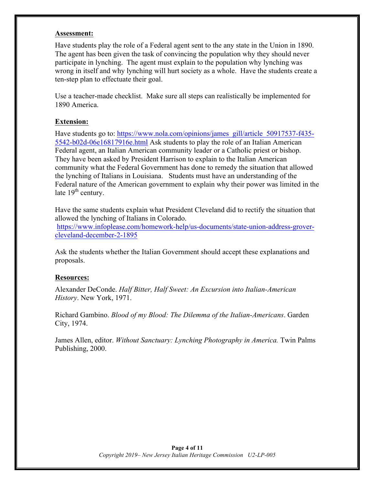#### **Assessment:**

Have students play the role of a Federal agent sent to the any state in the Union in 1890. The agent has been given the task of convincing the population why they should never participate in lynching. The agent must explain to the population why lynching was wrong in itself and why lynching will hurt society as a whole. Have the students create a ten-step plan to effectuate their goal.

Use a teacher-made checklist. Make sure all steps can realistically be implemented for 1890 America.

## **Extension:**

Have students go to: https://www.nola.com/opinions/james\_gill/article\_50917537-f435-5542-b02d-06e16817916e.html Ask students to play the role of an Italian American Federal agent, an Italian American community leader or a Catholic priest or bishop. They have been asked by President Harrison to explain to the Italian American community what the Federal Government has done to remedy the situation that allowed the lynching of Italians in Louisiana. Students must have an understanding of the Federal nature of the American government to explain why their power was limited in the late  $19<sup>th</sup>$  century.

Have the same students explain what President Cleveland did to rectify the situation that allowed the lynching of Italians in Colorado.

https://www.infoplease.com/homework-help/us-documents/state-union-address-grovercleveland-december-2-1895

Ask the students whether the Italian Government should accept these explanations and proposals.

### **Resources:**

Alexander DeConde. *Half Bitter, Half Sweet: An Excursion into Italian-American History*. New York, 1971.

Richard Gambino. *Blood of my Blood: The Dilemma of the Italian-Americans*. Garden City, 1974.

James Allen, editor. *Without Sanctuary: Lynching Photography in America.* Twin Palms Publishing, 2000.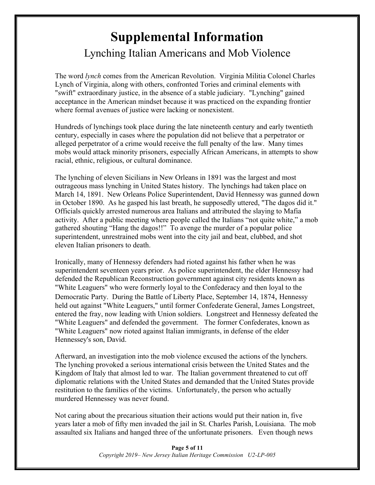## **Supplemental Information** Lynching Italian Americans and Mob Violence

The word *lynch* comes from the American Revolution. Virginia Militia Colonel Charles Lynch of Virginia, along with others, confronted Tories and criminal elements with "swift" extraordinary justice, in the absence of a stable judiciary. "Lynching" gained acceptance in the American mindset because it was practiced on the expanding frontier where formal avenues of justice were lacking or nonexistent.

Hundreds of lynchings took place during the late nineteenth century and early twentieth century, especially in cases where the population did not believe that a perpetrator or alleged perpetrator of a crime would receive the full penalty of the law. Many times mobs would attack minority prisoners, especially African Americans, in attempts to show racial, ethnic, religious, or cultural dominance.

The lynching of eleven Sicilians in New Orleans in 1891 was the largest and most outrageous mass lynching in United States history. The lynchings had taken place on March 14, 1891. New Orleans Police Superintendent, David Hennessy was gunned down in October 1890. As he gasped his last breath, he supposedly uttered, "The dagos did it." Officials quickly arrested numerous area Italians and attributed the slaying to Mafia activity. After a public meeting where people called the Italians "not quite white," a mob gathered shouting "Hang the dagos!!" To avenge the murder of a popular police superintendent, unrestrained mobs went into the city jail and beat, clubbed, and shot eleven Italian prisoners to death.

Ironically, many of Hennessy defenders had rioted against his father when he was superintendent seventeen years prior. As police superintendent, the elder Hennessy had defended the Republican Reconstruction government against city residents known as "White Leaguers" who were formerly loyal to the Confederacy and then loyal to the Democratic Party. During the Battle of Liberty Place, September 14, 1874, Hennessy held out against "White Leaguers," until former Confederate General, James Longstreet, entered the fray, now leading with Union soldiers. Longstreet and Hennessy defeated the "White Leaguers" and defended the government. The former Confederates, known as "White Leaguers" now rioted against Italian immigrants, in defense of the elder Hennessey's son, David.

Afterward, an investigation into the mob violence excused the actions of the lynchers. The lynching provoked a serious international crisis between the United States and the Kingdom of Italy that almost led to war. The Italian government threatened to cut off diplomatic relations with the United States and demanded that the United States provide restitution to the families of the victims. Unfortunately, the person who actually murdered Hennessey was never found.

Not caring about the precarious situation their actions would put their nation in, five years later a mob of fifty men invaded the jail in St. Charles Parish, Louisiana. The mob assaulted six Italians and hanged three of the unfortunate prisoners. Even though news

> **Page 5 of 11** *Copyright 2019– New Jersey Italian Heritage Commission U2-LP-005*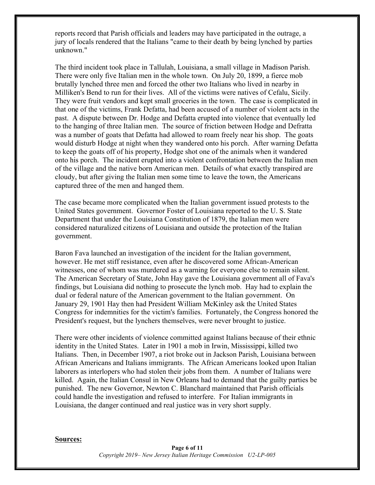reports record that Parish officials and leaders may have participated in the outrage, a jury of locals rendered that the Italians "came to their death by being lynched by parties unknown."

The third incident took place in Tallulah, Louisiana, a small village in Madison Parish. There were only five Italian men in the whole town. On July 20, 1899, a fierce mob brutally lynched three men and forced the other two Italians who lived in nearby in Milliken's Bend to run for their lives. All of the victims were natives of Cefalu, Sicily. They were fruit vendors and kept small groceries in the town. The case is complicated in that one of the victims, Frank Defatta, had been accused of a number of violent acts in the past. A dispute between Dr. Hodge and Defatta erupted into violence that eventually led to the hanging of three Italian men. The source of friction between Hodge and Defratta was a number of goats that Defatta had allowed to roam freely near his shop. The goats would disturb Hodge at night when they wandered onto his porch. After warning Defatta to keep the goats off of his property, Hodge shot one of the animals when it wandered onto his porch. The incident erupted into a violent confrontation between the Italian men of the village and the native born American men. Details of what exactly transpired are cloudy, but after giving the Italian men some time to leave the town, the Americans captured three of the men and hanged them.

The case became more complicated when the Italian government issued protests to the United States government. Governor Foster of Louisiana reported to the U. S. State Department that under the Louisiana Constitution of 1879, the Italian men were considered naturalized citizens of Louisiana and outside the protection of the Italian government.

Baron Fava launched an investigation of the incident for the Italian government, however. He met stiff resistance, even after he discovered some African-American witnesses, one of whom was murdered as a warning for everyone else to remain silent. The American Secretary of State, John Hay gave the Louisiana government all of Fava's findings, but Louisiana did nothing to prosecute the lynch mob. Hay had to explain the dual or federal nature of the American government to the Italian government. On January 29, 1901 Hay then had President William McKinley ask the United States Congress for indemnities for the victim's families. Fortunately, the Congress honored the President's request, but the lynchers themselves, were never brought to justice.

There were other incidents of violence committed against Italians because of their ethnic identity in the United States. Later in 1901 a mob in Irwin, Mississippi, killed two Italians. Then, in December 1907, a riot broke out in Jackson Parish, Louisiana between African Americans and Italians immigrants. The African Americans looked upon Italian laborers as interlopers who had stolen their jobs from them. A number of Italians were killed. Again, the Italian Consul in New Orleans had to demand that the guilty parties be punished. The new Governor, Newton C. Blanchard maintained that Parish officials could handle the investigation and refused to interfere. For Italian immigrants in Louisiana, the danger continued and real justice was in very short supply.

#### **Sources:**

**Page 6 of 11** *Copyright 2019– New Jersey Italian Heritage Commission U2-LP-005*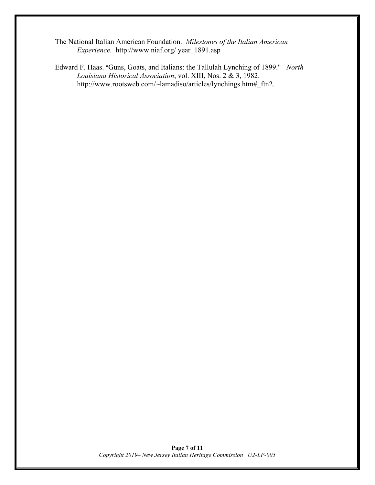The National Italian American Foundation. *Milestones of the Italian American Experience.* http://www.niaf.org/ year\_1891.asp

Edward F. Haas. "Guns, Goats, and Italians: the Tallulah Lynching of 1899." *North Louisiana Historical Association*, vol. XIII, Nos. 2 & 3, 1982. http://www.rootsweb.com/~lamadiso/articles/lynchings.htm#\_ftn2.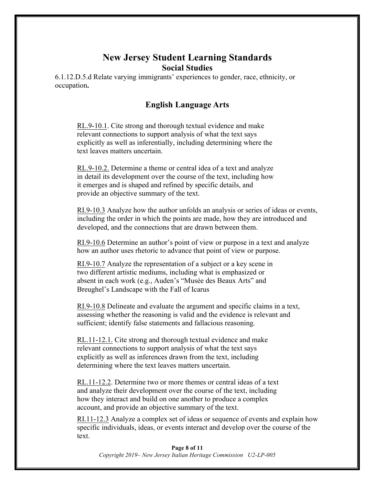## **New Jersey Student Learning Standards Social Studies**

6.1.12.D.5.d Relate varying immigrants' experiences to gender, race, ethnicity, or occupation**.**

## **English Language Arts**

RL.9-10.1. Cite strong and thorough textual evidence and make relevant connections to support analysis of what the text says explicitly as well as inferentially, including determining where the text leaves matters uncertain.

RL.9-10.2. Determine a theme or central idea of a text and analyze in detail its development over the course of the text, including how it emerges and is shaped and refined by specific details, and provide an objective summary of the text.

RI.9-10.3 Analyze how the author unfolds an analysis or series of ideas or events, including the order in which the points are made, how they are introduced and developed, and the connections that are drawn between them.

RI.9-10.6 Determine an author's point of view or purpose in a text and analyze how an author uses rhetoric to advance that point of view or purpose.

RI.9-10.7 Analyze the representation of a subject or a key scene in two different artistic mediums, including what is emphasized or absent in each work (e.g., Auden's "Musée des Beaux Arts" and Breughel's Landscape with the Fall of Icarus

RI.9-10.8 Delineate and evaluate the argument and specific claims in a text, assessing whether the reasoning is valid and the evidence is relevant and sufficient; identify false statements and fallacious reasoning.

RL.11-12.1. Cite strong and thorough textual evidence and make relevant connections to support analysis of what the text says explicitly as well as inferences drawn from the text, including determining where the text leaves matters uncertain.

RL.11-12.2. Determine two or more themes or central ideas of a text and analyze their development over the course of the text, including how they interact and build on one another to produce a complex account, and provide an objective summary of the text.

RI.11-12.3 Analyze a complex set of ideas or sequence of events and explain how specific individuals, ideas, or events interact and develop over the course of the text.

**Page 8 of 11** *Copyright 2019– New Jersey Italian Heritage Commission U2-LP-005*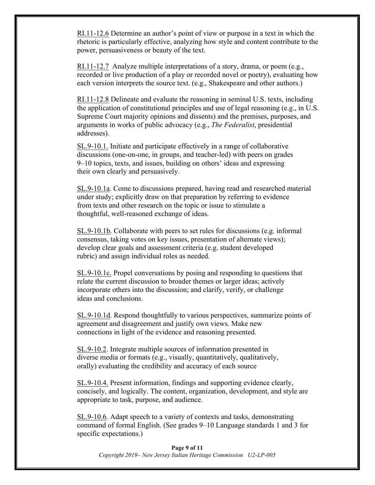RI.11-12.6 Determine an author's point of view or purpose in a text in which the rhetoric is particularly effective, analyzing how style and content contribute to the power, persuasiveness or beauty of the text.

RI.11-12.7 Analyze multiple interpretations of a story, drama, or poem (e.g., recorded or live production of a play or recorded novel or poetry), evaluating how each version interprets the source text. (e.g., Shakespeare and other authors.)

RI.11-12.8 Delineate and evaluate the reasoning in seminal U.S. texts, including the application of constitutional principles and use of legal reasoning (e.g., in U.S. Supreme Court majority opinions and dissents) and the premises, purposes, and arguments in works of public advocacy (e.g., *The Federalist*, presidential addresses).

SL.9-10.1. Initiate and participate effectively in a range of collaborative discussions (one-on-one, in groups, and teacher-led) with peers on grades 9–10 topics, texts, and issues, building on others' ideas and expressing their own clearly and persuasively.

SL.9-10.1a. Come to discussions prepared, having read and researched material under study; explicitly draw on that preparation by referring to evidence from texts and other research on the topic or issue to stimulate a thoughtful, well-reasoned exchange of ideas.

SL.9-10.1b. Collaborate with peers to set rules for discussions (e.g. informal consensus, taking votes on key issues, presentation of alternate views); develop clear goals and assessment criteria (e.g. student developed rubric) and assign individual roles as needed.

SL.9-10.1c. Propel conversations by posing and responding to questions that relate the current discussion to broader themes or larger ideas; actively incorporate others into the discussion; and clarify, verify, or challenge ideas and conclusions.

SL.9-10.1d. Respond thoughtfully to various perspectives, summarize points of agreement and disagreement and justify own views. Make new connections in light of the evidence and reasoning presented.

SL.9-10.2. Integrate multiple sources of information presented in diverse media or formats (e.g., visually, quantitatively, qualitatively, orally) evaluating the credibility and accuracy of each source

SL.9-10.4. Present information, findings and supporting evidence clearly, concisely, and logically. The content, organization, development, and style are appropriate to task, purpose, and audience.

SL.9-10.6. Adapt speech to a variety of contexts and tasks, demonstrating command of formal English. (See grades 9–10 Language standards 1 and 3 for specific expectations.)

**Page 9 of 11** *Copyright 2019– New Jersey Italian Heritage Commission U2-LP-005*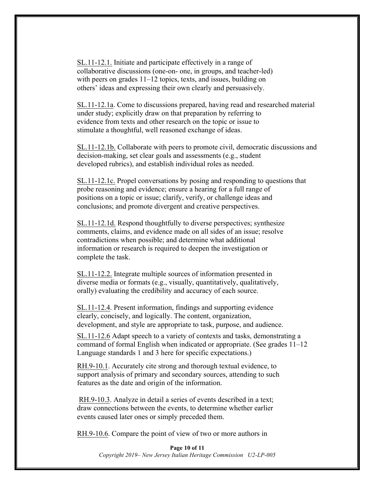SL.11-12.1. Initiate and participate effectively in a range of collaborative discussions (one-on- one, in groups, and teacher-led) with peers on grades 11–12 topics, texts, and issues, building on others' ideas and expressing their own clearly and persuasively.

SL.11-12.1a. Come to discussions prepared, having read and researched material under study; explicitly draw on that preparation by referring to evidence from texts and other research on the topic or issue to stimulate a thoughtful, well reasoned exchange of ideas.

SL.11-12.1b. Collaborate with peers to promote civil, democratic discussions and decision-making, set clear goals and assessments (e.g., student developed rubrics), and establish individual roles as needed.

SL.11-12.1c. Propel conversations by posing and responding to questions that probe reasoning and evidence; ensure a hearing for a full range of positions on a topic or issue; clarify, verify, or challenge ideas and conclusions; and promote divergent and creative perspectives.

SL.11-12.1d. Respond thoughtfully to diverse perspectives; synthesize comments, claims, and evidence made on all sides of an issue; resolve contradictions when possible; and determine what additional information or research is required to deepen the investigation or complete the task.

SL.11-12.2. Integrate multiple sources of information presented in diverse media or formats (e.g., visually, quantitatively, qualitatively, orally) evaluating the credibility and accuracy of each source.

SL.11-12.4. Present information, findings and supporting evidence clearly, concisely, and logically. The content, organization, development, and style are appropriate to task, purpose, and audience.

SL.11-12.6 Adapt speech to a variety of contexts and tasks, demonstrating a command of formal English when indicated or appropriate. (See grades 11–12 Language standards 1 and 3 here for specific expectations.)

RH.9-10.1. Accurately cite strong and thorough textual evidence, to support analysis of primary and secondary sources, attending to such features as the date and origin of the information.

RH.9-10.3. Analyze in detail a series of events described in a text; draw connections between the events, to determine whether earlier events caused later ones or simply preceded them.

RH.9-10.6. Compare the point of view of two or more authors in

**Page 10 of 11** *Copyright 2019– New Jersey Italian Heritage Commission U2-LP-005*